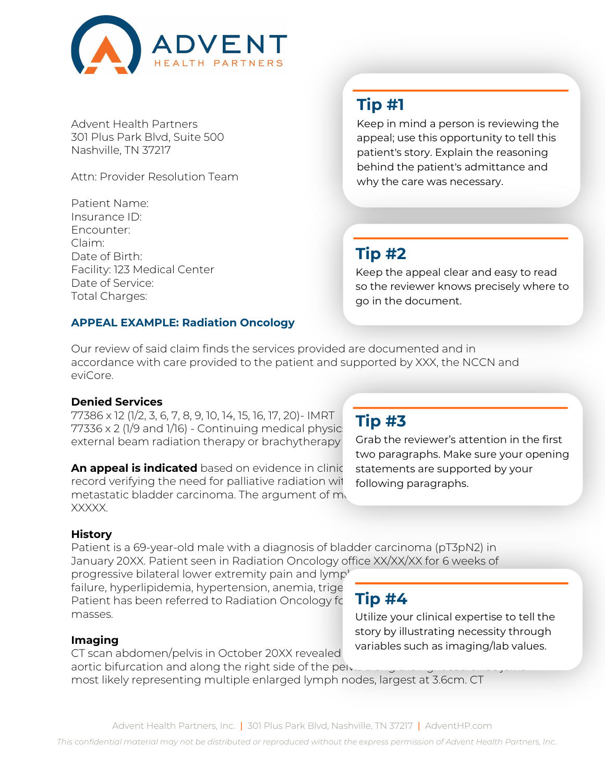

Advent Health Partners 301 Plus Park Blvd, Suite 500 Nashville, TN 37217

Attn: Provider Resolution Team

Patient Name: Insurance ID: Encounter: Claim: Date of Birth: Facility: 123 Medical Center Date of Service: Total Charges:

## **APPEAL EXAMPLE: Radiation Oncology**

# **Tip #1**

Keep in mind a person is reviewing the appeal; use this opportunity to tell this patient's story. Explain the reasoning behind the patient's admittance and why the care was necessary.

## **Tip #2**

Keep the appeal clear and easy to read so the reviewer knows precisely where to go in the document.

Our review of said claim finds the services provided are documented and in accordance with care provided to the patient and supported by XXX, the NCCN and eviCore.

### **Denied Services**

77386 x 12 (1/2, 3, 6, 7, 8, 9, 10, 14, 15, 16, 17, 20)- IMRT  $77336 \times 2$  (1/9 and 1/16) - Continuing medical physic external beam radiation therapy or brachytherapy

**An appeal is indicated** based on evidence in clinic record verifying the need for palliative radiation with metastatic bladder carcinoma. The argument of  $m_1$ XXXXX.

## **Tip #3**

Grab the reviewer's attention in the first two paragraphs. Make sure your opening statements are supported by your following paragraphs.

### **History**

Patient is a 69-year-old male with a diagnosis of bladder carcinoma (pT3pN2) in January 20XX. Patient seen in Radiation Oncology office XX/XX/XX for 6 weeks of

progressive bilateral lower extremity pain and lymp' failure, hyperlipidemia, hypertension, anemia, trige Patient has been referred to Radiation Oncology for masses.

# **Tip #4**

Utilize your clinical expertise to tell the story by illustrating necessity through variables such as imaging/lab values.

### **Imaging**

CT scan abdomen/pelvis in October 20XX revealed aortic bifurcation and along the right side of the pelvistion most likely representing multiple enlarged lymph nodes, largest at 3.6cm. CT

*This confidential material may not be distributed or reproduced without the express permission of Advent Health Partners, Inc.*